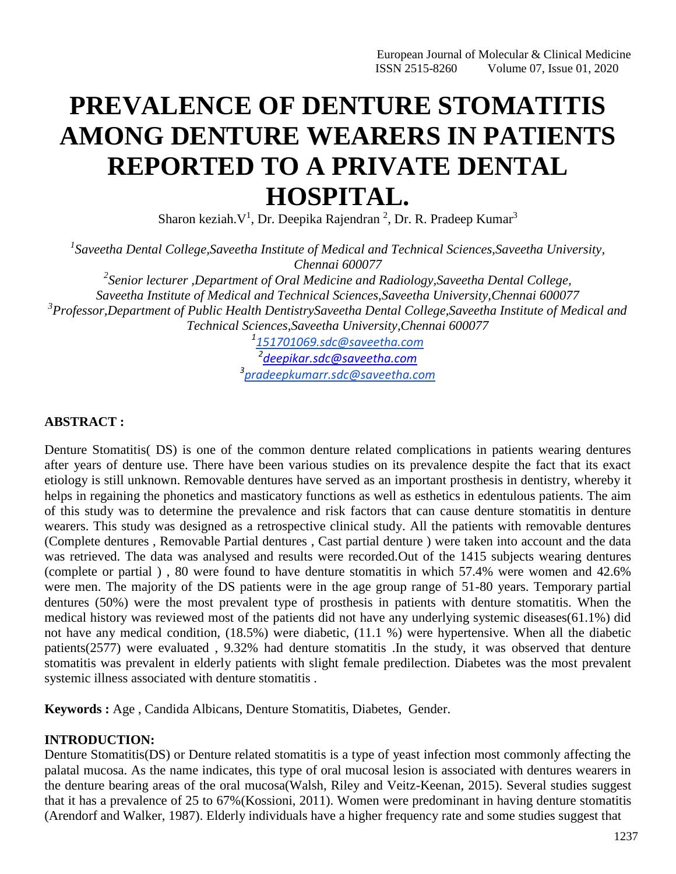# **PREVALENCE OF DENTURE STOMATITIS AMONG DENTURE WEARERS IN PATIENTS REPORTED TO A PRIVATE DENTAL HOSPITAL.**

Sharon keziah. $V^1$ , Dr. Deepika Rajendran<sup>2</sup>, Dr. R. Pradeep Kumar<sup>3</sup>

*1 Saveetha Dental College,Saveetha Institute of Medical and Technical Sciences,Saveetha University, Chennai 600077*

*2 Senior lecturer ,Department of Oral Medicine and Radiology,Saveetha Dental College, Saveetha Institute of Medical and Technical Sciences,Saveetha University,Chennai 600077 3 Professor,Department of Public Health DentistrySaveetha Dental College,Saveetha Institute of Medical and Technical Sciences,Saveetha University,Chennai 600077*

*1 [151701069.sdc@saveetha.com](mailto:151701069.sdc@saveetha.com) 2 [deepikar.sdc@saveetha.com](mailto:deepikar.sdc@saveetha.com) 3 [pradeepkumarr.sdc@saveetha.com](mailto:pradeepkumarr.sdc@saveetha.com)*

## **ABSTRACT :**

Denture Stomatitis( DS) is one of the common denture related complications in patients wearing dentures after years of denture use. There have been various studies on its prevalence despite the fact that its exact etiology is still unknown. Removable dentures have served as an important prosthesis in dentistry, whereby it helps in regaining the phonetics and masticatory functions as well as esthetics in edentulous patients. The aim of this study was to determine the prevalence and risk factors that can cause denture stomatitis in denture wearers. This study was designed as a retrospective clinical study. All the patients with removable dentures (Complete dentures , Removable Partial dentures , Cast partial denture ) were taken into account and the data was retrieved. The data was analysed and results were recorded.Out of the 1415 subjects wearing dentures (complete or partial ) , 80 were found to have denture stomatitis in which 57.4% were women and 42.6% were men. The majority of the DS patients were in the age group range of 51-80 years. Temporary partial dentures (50%) were the most prevalent type of prosthesis in patients with denture stomatitis. When the medical history was reviewed most of the patients did not have any underlying systemic diseases(61.1%) did not have any medical condition, (18.5%) were diabetic, (11.1 %) were hypertensive. When all the diabetic patients(2577) were evaluated , 9.32% had denture stomatitis .In the study, it was observed that denture stomatitis was prevalent in elderly patients with slight female predilection. Diabetes was the most prevalent systemic illness associated with denture stomatitis .

**Keywords :** Age , Candida Albicans, Denture Stomatitis, Diabetes, Gender.

## **INTRODUCTION:**

Denture Stomatitis(DS) or Denture related stomatitis is a type of yeast infection most commonly affecting the palatal mucosa. As the name indicates, this type of oral mucosal lesion is associated with dentures wearers in the denture bearing areas of the oral mucos[a\(Walsh, Riley and Veitz-Keenan, 2015\).](https://paperpile.com/c/Pm6PN6/qGdZ) Several studies suggest that it has a prevalence of 25 to 67[%\(Kossioni, 2011\).](https://paperpile.com/c/Pm6PN6/3Wtk) Women were predominant in having denture stomatitis [\(Arendorf and Walker, 1987\).](https://paperpile.com/c/Pm6PN6/GMbM) Elderly individuals have a higher frequency rate and some studies suggest that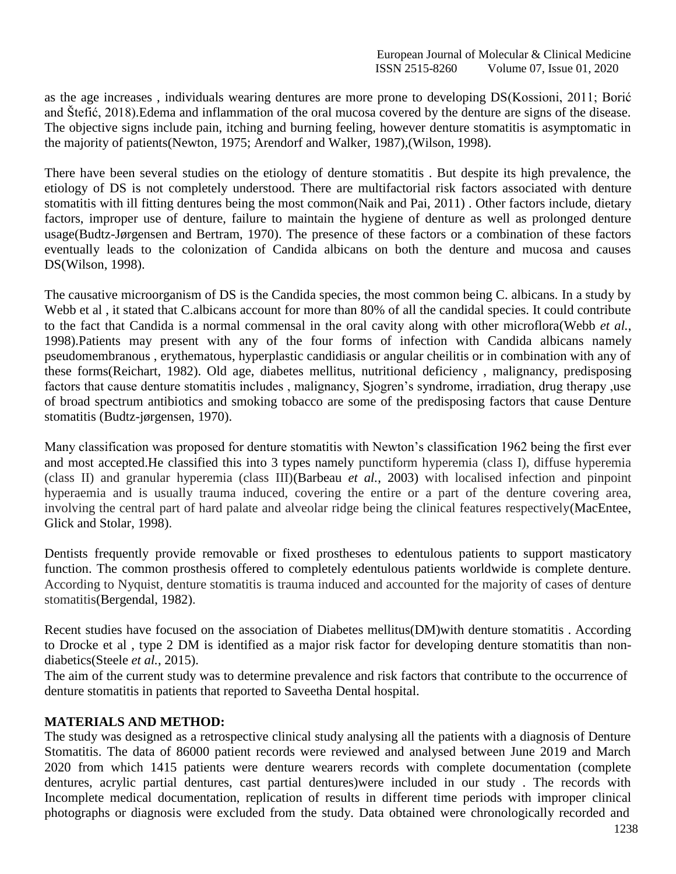as the age increases , individuals wearing dentures are more prone to developing D[S\(Kossioni, 2011; Borić](https://paperpile.com/c/Pm6PN6/3Wtk%2BIW2P) [and Štefić, 2018\).](https://paperpile.com/c/Pm6PN6/3Wtk%2BIW2P)Edema and inflammation of the oral mucosa covered by the denture are signs of the disease. The objective signs include pain, itching and burning feeling, however denture stomatitis is asymptomatic in the majority of patient[s\(Newton, 1975; Arendorf and Walker, 1987\),\(Wilson,](https://paperpile.com/c/Pm6PN6/GMbM%2BrY4Y) 1998).

There have been several studies on the etiology of denture stomatitis . But despite its high prevalence, the etiology of DS is not completely understood. There are multifactorial risk factors associated with denture stomatitis with ill fitting dentures being the most commo[n\(Naik and Pai, 2011\) .](https://paperpile.com/c/Pm6PN6/V98Z) Other factors include, dietary factors, improper use of denture, failure to maintain the hygiene of denture as well as prolonged denture usag[e\(Budtz-Jørgensen and Bertram, 1970\).](https://paperpile.com/c/Pm6PN6/gN7B) The presence of these factors or a combination of these factors eventually leads to the colonization of Candida albicans on both the denture and mucosa and causes D[S\(Wilson, 1998\).](https://paperpile.com/c/Pm6PN6/Ez6F)

The causative microorganism of DS is the Candida species, the most common being C. albicans. In a study by Webb et al, it stated that C.albicans account for more than 80% of all the candidal species. It could contribute to the fact that Candida is a normal commensal in the oral cavity along with other microflor[a\(Webb](https://paperpile.com/c/Pm6PN6/cDyO) *et al.*, [1998\).](https://paperpile.com/c/Pm6PN6/cDyO)Patients may present with any of the four forms of infection with Candida albicans namely pseudomembranous , erythematous, hyperplastic candidiasis or angular cheilitis or in combination with any of these form[s\(Reichart, 1982\).](https://paperpile.com/c/Pm6PN6/cM4E) Old age, diabetes mellitus, nutritional deficiency , malignancy, predisposing factors that cause denture stomatitis includes , malignancy, Sjogren's syndrome, irradiation, drug therapy ,use of broad spectrum antibiotics and smoking tobacco are some of the predisposing factors that cause Denture stomatitis [\(Budtz-jørgensen, 1970\).](https://paperpile.com/c/Pm6PN6/d37W)

Many classification was proposed for denture stomatitis with Newton's classification 1962 being the first ever and most accepted.He classified this into 3 types namely punctiform hyperemia (class I), diffuse hyperemia (class II) and granular hyperemia (class III[\)\(Barbeau](https://paperpile.com/c/Pm6PN6/G4PV) *et al.*, 2003) with localised infection and pinpoint hyperaemia and is usually trauma induced, covering the entire or a part of the denture covering area, involving the central part of hard palate and alveolar ridge being the clinical features respectivel[y\(MacEntee,](https://paperpile.com/c/Pm6PN6/Qsx9) [Glick and Stolar,](https://paperpile.com/c/Pm6PN6/Qsx9) 1998).

Dentists frequently provide removable or fixed prostheses to edentulous patients to support masticatory function. The common prosthesis offered to completely edentulous patients worldwide is complete denture. According to Nyquist, denture stomatitis is trauma induced and accounted for the majority of cases of denture stomatiti[s\(Bergendal, 1982\).](https://paperpile.com/c/Pm6PN6/zWRV)

Recent studies have focused on the association of Diabetes mellitus(DM)with denture stomatitis . According to Drocke et al , type 2 DM is identified as a major risk factor for developing denture stomatitis than nondiabetic[s\(Steele](https://paperpile.com/c/Pm6PN6/KmiI) *et al.*, 2015).

The aim of the current study was to determine prevalence and risk factors that contribute to the occurrence of denture stomatitis in patients that reported to Saveetha Dental hospital.

## **MATERIALS AND METHOD:**

The study was designed as a retrospective clinical study analysing all the patients with a diagnosis of Denture Stomatitis. The data of 86000 patient records were reviewed and analysed between June 2019 and March 2020 from which 1415 patients were denture wearers records with complete documentation (complete dentures, acrylic partial dentures, cast partial dentures)were included in our study . The records with Incomplete medical documentation, replication of results in different time periods with improper clinical photographs or diagnosis were excluded from the study. Data obtained were chronologically recorded and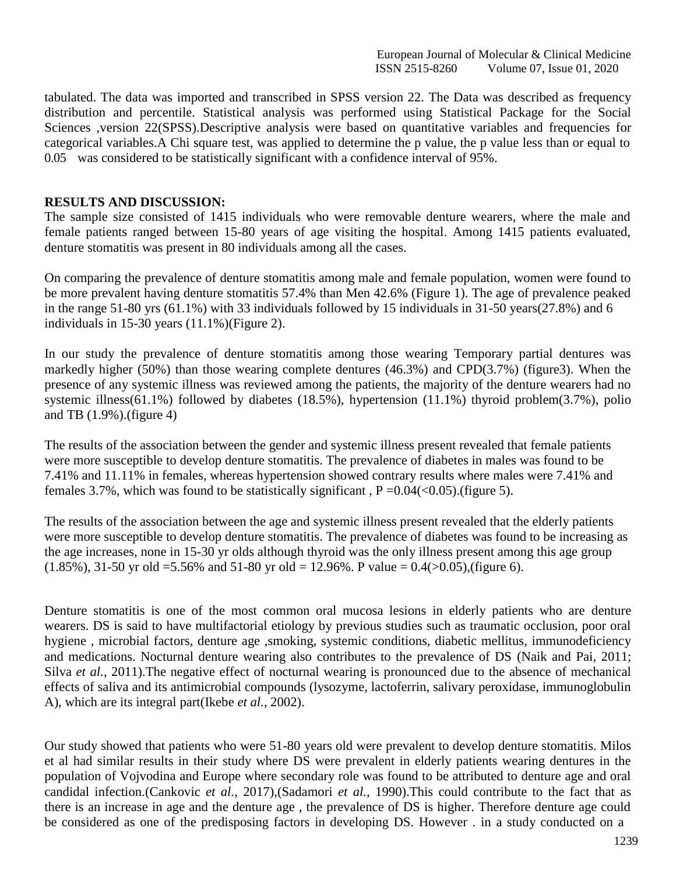European Journal of Molecular & Clinical Medicine ISSN 2515-8260 Volume 07, Issue 01, 2020

tabulated. The data was imported and transcribed in SPSS version 22. The Data was described as frequency distribution and percentile. Statistical analysis was performed using Statistical Package for the Social Sciences , version 22(SPSS). Descriptive analysis were based on quantitative variables and frequencies for categorical variables.A Chi square test, was applied to determine the p value, the p value less than or equal to 0.05 was considered to be statistically significant with a confidence interval of 95%.

#### **RESULTS AND DISCUSSION:**

The sample size consisted of 1415 individuals who were removable denture wearers, where the male and female patients ranged between 15-80 years of age visiting the hospital. Among 1415 patients evaluated, denture stomatitis was present in 80 individuals among all the cases.

On comparing the prevalence of denture stomatitis among male and female population, women were found to be more prevalent having denture stomatitis 57.4% than Men 42.6% (Figure 1). The age of prevalence peaked in the range 51-80 yrs (61.1%) with 33 individuals followed by 15 individuals in 31-50 years(27.8%) and 6 individuals in 15-30 years (11.1%)(Figure 2).

In our study the prevalence of denture stomatitis among those wearing Temporary partial dentures was markedly higher (50%) than those wearing complete dentures (46.3%) and CPD(3.7%) (figure3). When the presence of any systemic illness was reviewed among the patients, the majority of the denture wearers had no systemic illness(61.1%) followed by diabetes (18.5%), hypertension (11.1%) thyroid problem(3.7%), polio and TB (1.9%).(figure 4)

The results of the association between the gender and systemic illness present revealed that female patients were more susceptible to develop denture stomatitis. The prevalence of diabetes in males was found to be 7.41% and 11.11% in females, whereas hypertension showed contrary results where males were 7.41% and females 3.7%, which was found to be statistically significant,  $P = 0.04 \times (0.05)$ . (figure 5).

The results of the association between the age and systemic illness present revealed that the elderly patients were more susceptible to develop denture stomatitis. The prevalence of diabetes was found to be increasing as the age increases, none in 15-30 yr olds although thyroid was the only illness present among this age group  $(1.85\%)$ , 31-50 yr old =5.56% and 51-80 yr old = 12.96%. P value = 0.4( $>0.05$ ), (figure 6).

Denture stomatitis is one of the most common oral mucosa lesions in elderly patients who are denture wearers. DS is said to have multifactorial etiology by previous studies such as traumatic occlusion, poor oral hygiene , microbial factors, denture age ,smoking, systemic conditions, diabetic mellitus, immunodeficiency and medications. Nocturnal denture wearing also contributes to the prevalence of DS [\(Naik and Pai, 2011;](https://paperpile.com/c/Pm6PN6/LaW7%2BV98Z) Silva *et al.*[, 2011\).](https://paperpile.com/c/Pm6PN6/LaW7%2BV98Z) The negative effect of nocturnal wearing is pronounced due to the absence of mechanical effects of saliva and its antimicrobial compounds (lysozyme, lactoferrin, salivary peroxidase, immunoglobulin A), which are its integral par[t\(Ikebe](https://paperpile.com/c/Pm6PN6/nHWl) *et al.*, 2002).

Our study showed that patients who were 51-80 years old were prevalent to develop denture stomatitis. Milos et al had similar results in their study where DS were prevalent in elderly patients wearing dentures in the population of Vojvodina and Europe where secondary role was found to be attributed to denture age and oral candidal infection[.\(Cankovic](https://paperpile.com/c/Pm6PN6/pU7a) *et al.*, 2017[\),\(Sadamori](https://paperpile.com/c/Pm6PN6/pU7a) *et al.*, 1990).This could contribute to the fact that as there is an increase in age and the denture age , the prevalence of DS is higher. Therefore denture age could be considered as one of the predisposing factors in developing DS. However . in a study conducted on a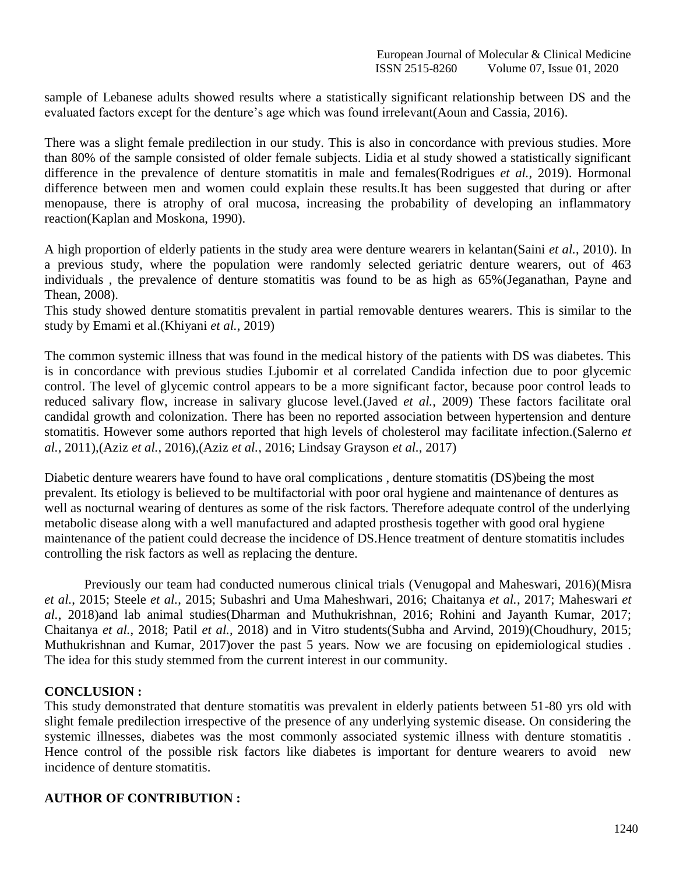sample of Lebanese adults showed results where a statistically significant relationship between DS and the evaluated factors except for the denture's age which was found irrelevan[t\(Aoun and Cassia, 2016\).](https://paperpile.com/c/Pm6PN6/bBU8)

There was a slight female predilection in our study. This is also in concordance with previous studies. More than 80% of the sample consisted of older female subjects. Lidia et al study showed a statistically significant difference in the prevalence of denture stomatitis in male and female[s\(Rodrigues](https://paperpile.com/c/Pm6PN6/r5OC) *et al.*, 2019). Hormonal difference between men and women could explain these results.It has been suggested that during or after menopause, there is atrophy of oral mucosa, increasing the probability of developing an inflammatory reactio[n\(Kaplan and Moskona, 1990\).](https://paperpile.com/c/Pm6PN6/JD1P)

A high proportion of elderly patients in the study area were denture wearers in kelantan(Saini *et al.*[, 2010\).](https://paperpile.com/c/Pm6PN6/x6P1) In a previous study, where the population were randomly selected geriatric denture wearers, out of 463 individuals , the prevalence of denture stomatitis was found to be as high as 65[%\(Jeganathan, Payne and](https://paperpile.com/c/Pm6PN6/bhDd) [Thean,](https://paperpile.com/c/Pm6PN6/bhDd) 2008).

This study showed denture stomatitis prevalent in partial removable dentures wearers. This is similar to the study by Emami et al[.\(Khiyani](https://paperpile.com/c/Pm6PN6/e3Dd) *et al.*, 2019)

The common systemic illness that was found in the medical history of the patients with DS was diabetes. This is in concordance with previous studies Ljubomir et al correlated Candida infection due to poor glycemic control. The level of glycemic control appears to be a more significant factor, because poor control leads to reduced salivary flow, increase in salivary glucose level.(Javed *et al.*[, 2009\)](https://paperpile.com/c/Pm6PN6/8JE7) These factors facilitate oral candidal growth and colonization. There has been no reported association between hypertension and denture stomatitis. However some authors reported that high levels of cholesterol may facilitate infection[.\(Salerno](https://paperpile.com/c/Pm6PN6/jnEN) *et al.*[, 2011\),](https://paperpile.com/c/Pm6PN6/jnEN)(Aziz *et al.*[, 2016\),](https://paperpile.com/c/Pm6PN6/jnEN)(Aziz *et al.*[, 2016; Lindsay Grayson](https://paperpile.com/c/Pm6PN6/BtTu%2BNVjI) *et al.*, 2017)

Diabetic denture wearers have found to have oral complications , denture stomatitis (DS)being the most prevalent. Its etiology is believed to be multifactorial with poor oral hygiene and maintenance of dentures as well as nocturnal wearing of dentures as some of the risk factors. Therefore adequate control of the underlying metabolic disease along with a well manufactured and adapted prosthesis together with good oral hygiene maintenance of the patient could decrease the incidence of DS.Hence treatment of denture stomatitis includes controlling the risk factors as well as replacing the denture.

Previously our team had conducted numerous clinical trials [\(Venugopal and Maheswari, 2016\)\(Misra](https://paperpile.com/c/Pm6PN6/eOvQ) *et al.*, 2015; Steele *et al.*[, 2015; Subashri and Uma Maheshwari, 2016; Chaitanya](https://paperpile.com/c/Pm6PN6/lT7L%2BByi3%2B1qKz%2B2CIZ%2BKmiI) *et al.*, 2017; Maheswari *et al.*[, 2018\)a](https://paperpile.com/c/Pm6PN6/lT7L%2BByi3%2B1qKz%2B2CIZ%2BKmiI)nd lab animal studie[s\(Dharman and Muthukrishnan, 2016; Rohini and Jayanth Kumar, 2017;](https://paperpile.com/c/Pm6PN6/OJU4%2BHAuK%2BjmZP%2BEgl2) Chaitanya *et al.*[, 2018; Patil](https://paperpile.com/c/Pm6PN6/OJU4%2BHAuK%2BjmZP%2BEgl2) *et al.*, 2018) and in Vitro student[s\(Subha and Arvind, 2019\)\(Choudhury, 2015;](https://paperpile.com/c/Pm6PN6/bRKz) [Muthukrishnan and Kumar, 2017\)o](https://paperpile.com/c/Pm6PN6/C2oE%2BDkkC)ver the past 5 years. Now we are focusing on epidemiological studies . The idea for this study stemmed from the current interest in our community.

#### **CONCLUSION :**

This study demonstrated that denture stomatitis was prevalent in elderly patients between 51-80 yrs old with slight female predilection irrespective of the presence of any underlying systemic disease. On considering the systemic illnesses, diabetes was the most commonly associated systemic illness with denture stomatitis. Hence control of the possible risk factors like diabetes is important for denture wearers to avoid new incidence of denture stomatitis.

#### **AUTHOR OF CONTRIBUTION :**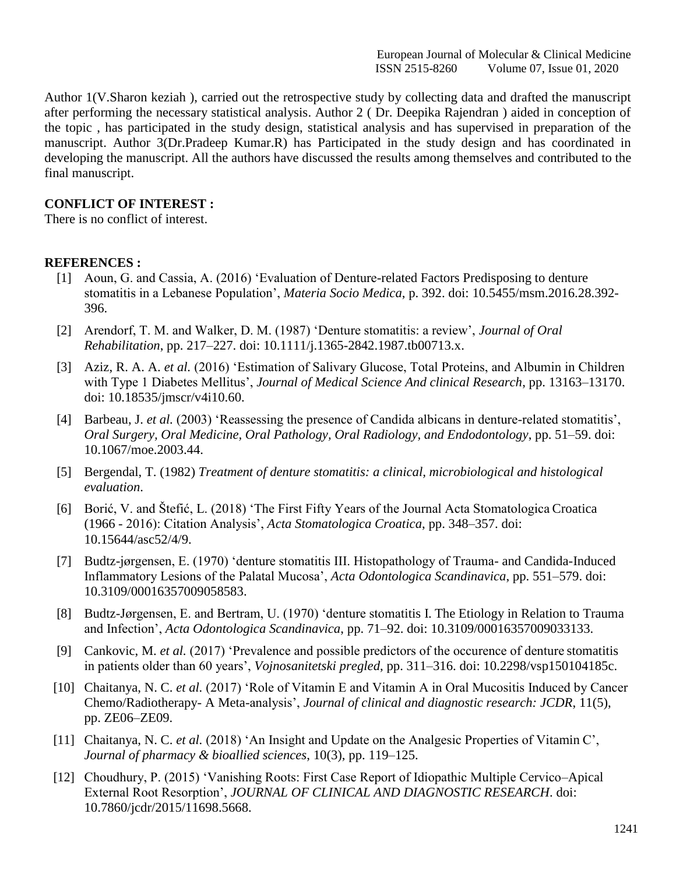Author 1(V.Sharon keziah ), carried out the retrospective study by collecting data and drafted the manuscript after performing the necessary statistical analysis. Author 2 ( Dr. Deepika Rajendran ) aided in conception of the topic , has participated in the study design, statistical analysis and has supervised in preparation of the manuscript. Author 3(Dr.Pradeep Kumar.R) has Participated in the study design and has coordinated in developing the manuscript. All the authors have discussed the results among themselves and contributed to the final manuscript.

### **CONFLICT OF INTEREST :**

There is no conflict of interest.

#### **REFERENCES :**

- [1] [Aoun, G. and Cassia, A. \(2016\) 'Evaluation of Denture-related Factors Predisposing to denture](http://paperpile.com/b/Pm6PN6/bBU8) [stomatitis in a Lebanese Population',](http://paperpile.com/b/Pm6PN6/bBU8) *Materia Socio Medica*, p. 392. doi: [10.5455/msm.2016.28.392-](http://paperpile.com/b/Pm6PN6/bBU8) [396.](http://dx.doi.org/10.5455/msm.2016.28.392-396)
- [2] [Arendorf, T. M. and Walker, D. M. \(1987\) 'Denture stomatitis: a review',](http://paperpile.com/b/Pm6PN6/GMbM) *Journal of Ora[l](http://paperpile.com/b/Pm6PN6/GMbM) Rehabilitation*[, pp. 217–227. doi:](http://paperpile.com/b/Pm6PN6/GMbM) [10.1111/j.1365-2842.1987.tb00713.x](http://paperpile.com/b/Pm6PN6/GMbM)[.](http://dx.doi.org/10.1111/j.1365-2842.1987.tb00713.x)
- [3] Aziz, R. A. A. *et al.* [\(2016\) 'Estimation of Salivary Glucose, Total Proteins, and Albumin in Children](http://paperpile.com/b/Pm6PN6/BtTu) with Type 1 Diabetes Mellitus', *[Journal of Medical Science And clinical Research](http://paperpile.com/b/Pm6PN6/BtTu)*, pp. 13163–13170[.](http://paperpile.com/b/Pm6PN6/BtTu) [doi:](http://paperpile.com/b/Pm6PN6/BtTu) [10.18535/jmscr/v4i10.60.](http://paperpile.com/b/Pm6PN6/BtTu)
- [4] Barbeau, J. *et al.* [\(2003\) 'Reassessing the presence of Candida albicans in denture-related stomatitis',](http://paperpile.com/b/Pm6PN6/G4PV) *[Oral Surgery, Oral Medicine, Oral Pathology, Oral Radiology, and Endodontology](http://paperpile.com/b/Pm6PN6/G4PV)*, pp. 51–59. doi[:](http://paperpile.com/b/Pm6PN6/G4PV) [10.1067/moe.2003.44.](http://dx.doi.org/10.1067/moe.2003.44)
- [5] Bergendal, T. (1982) *[Treatment of denture stomatitis: a clinical, microbiological and histological](http://paperpile.com/b/Pm6PN6/zWRV) [evaluation](http://paperpile.com/b/Pm6PN6/zWRV)*.
- [6] [Borić, V. and Štefić, L. \(2018\) 'The First Fifty Years of the Journal Acta Stomatologica](http://paperpile.com/b/Pm6PN6/IW2P) Croatic[a](http://paperpile.com/b/Pm6PN6/IW2P) (1966 - 2016): Citation Analysis', *[Acta Stomatologica Croatica](http://paperpile.com/b/Pm6PN6/IW2P)*, pp. 348–357. doi[:](http://paperpile.com/b/Pm6PN6/IW2P) [10.15644/asc52/4/9.](http://dx.doi.org/10.15644/asc52/4/9)
- [7] [Budtz-jørgensen, E. \(1970\) 'denture stomatitis III. Histopathology of Trauma-](http://paperpile.com/b/Pm6PN6/d37W) and Candida-Induce[d](http://paperpile.com/b/Pm6PN6/d37W) [Inflammatory Lesions of the Palatal Mucosa',](http://paperpile.com/b/Pm6PN6/d37W) *Acta Odontologica Scandinavica*, pp. 551–579. doi[:](http://paperpile.com/b/Pm6PN6/d37W) [10.3109/00016357009058583.](http://dx.doi.org/10.3109/00016357009058583)
- [8] [Budtz-Jørgensen, E. and Bertram, U. \(1970\) 'denture stomatitis I. The Etiology in Relation to Trauma](http://paperpile.com/b/Pm6PN6/gN7B) and Infection', *[Acta Odontologica Scandinavica](http://paperpile.com/b/Pm6PN6/gN7B)*, pp. 71–92. doi: [10.3109/00016357009033133](http://paperpile.com/b/Pm6PN6/gN7B)[.](http://dx.doi.org/10.3109/00016357009033133)
- [9] Cankovic, M. *et al.* [\(2017\) 'Prevalence and possible predictors of the occurence of denture](http://paperpile.com/b/Pm6PN6/pU7a) stomatiti[s](http://paperpile.com/b/Pm6PN6/pU7a) [in patients older than 60 years',](http://paperpile.com/b/Pm6PN6/pU7a) *Vojnosanitetski pregled*, pp. 311–316. doi: [10.2298/vsp150104185c](http://paperpile.com/b/Pm6PN6/pU7a)[.](http://dx.doi.org/10.2298/vsp150104185c)
- [10] Chaitanya, N. C. *et al.* [\(2017\) 'Role of Vitamin E and Vitamin A in Oral Mucositis Induced by Cancer](http://paperpile.com/b/Pm6PN6/lT7L) Chemo/Radiotherapy- A Meta-analysis', *[Journal of clinical and diagnostic research: JCDR](http://paperpile.com/b/Pm6PN6/lT7L)*, 11(5)[,](http://paperpile.com/b/Pm6PN6/lT7L) pp. [ZE06–ZE09.](http://paperpile.com/b/Pm6PN6/lT7L)
- [11] Chaitanya, N. C. *et al.* [\(2018\) 'An Insight and Update on the Analgesic Properties of Vitamin](http://paperpile.com/b/Pm6PN6/HAuK) C', *[Journal of pharmacy & bioallied sciences](http://paperpile.com/b/Pm6PN6/HAuK)*, 10(3), pp. 119–125.
- [12] [Choudhury, P. \(2015\) 'Vanishing Roots: First Case Report of Idiopathic Multiple Cervico–Apical](http://paperpile.com/b/Pm6PN6/DkkC) External Root Resorption', *[JOURNAL OF CLINICAL AND DIAGNOSTIC RESEARCH](http://paperpile.com/b/Pm6PN6/DkkC)*. doi[:](http://paperpile.com/b/Pm6PN6/DkkC) [10.7860/jcdr/2015/11698.5668.](http://dx.doi.org/10.7860/jcdr/2015/11698.5668)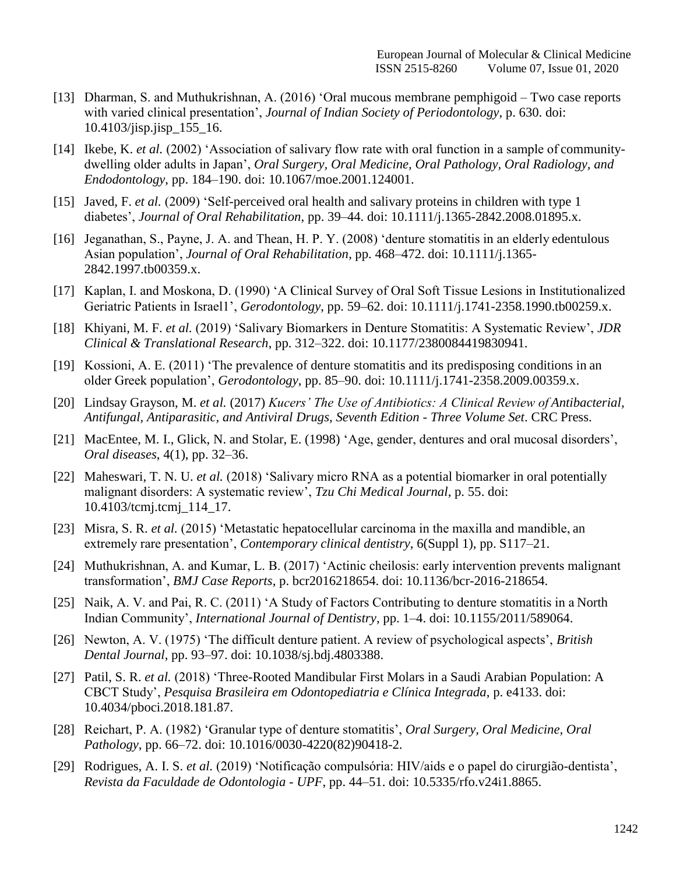- [13] [Dharman, S. and Muthukrishnan, A. \(2016\) 'Oral mucous membrane pemphigoid –](http://paperpile.com/b/Pm6PN6/Egl2) Two ca[s](http://paperpile.com/b/Pm6PN6/Egl2)e reports with varied clinical presentation', *[Journal of Indian Society of Periodontology](http://paperpile.com/b/Pm6PN6/Egl2)*, p. 630. doi[:](http://paperpile.com/b/Pm6PN6/Egl2) [10.4103/jisp.jisp\\_155\\_16.](http://dx.doi.org/10.4103/jisp.jisp_155_16)
- [14] Ikebe, K. *et al.* [\(2002\) 'Association of salivary flow rate with oral function in a sample of](http://paperpile.com/b/Pm6PN6/nHWl) communitydwelling older adults in Japan', *[Oral Surgery, Oral Medicine, Oral Pathology, Oral Radiology, and](http://paperpile.com/b/Pm6PN6/nHWl) Endodontology*[, pp. 184–190. doi:](http://paperpile.com/b/Pm6PN6/nHWl) [10.1067/moe.2001.124001.](http://paperpile.com/b/Pm6PN6/nHWl)
- [15] Javed, F. *et al.* [\(2009\) 'Self-perceived oral health and salivary proteins in children with type 1](http://paperpile.com/b/Pm6PN6/8JE7) diabetes', *[Journal of Oral Rehabilitation](http://paperpile.com/b/Pm6PN6/8JE7)*, pp. 39–44. doi: [10.1111/j.1365-2842.2008.01895.x](http://paperpile.com/b/Pm6PN6/8JE7)[.](http://dx.doi.org/10.1111/j.1365-2842.2008.01895.x)
- [16] [Jeganathan, S., Payne, J. A. and Thean, H. P. Y. \(2008\) 'denture stomatitis in an elderly](http://paperpile.com/b/Pm6PN6/bhDd) edentulou[s](http://paperpile.com/b/Pm6PN6/bhDd) Asian population', *[Journal of Oral Rehabilitation](http://paperpile.com/b/Pm6PN6/bhDd)*, pp. 468–472. doi: [10.1111/j.1365-](http://paperpile.com/b/Pm6PN6/bhDd) [2842.1997.tb00359.x](http://dx.doi.org/10.1111/j.1365-2842.1997.tb00359.x)[.](http://paperpile.com/b/Pm6PN6/bhDd)
- [17] [Kaplan, I. and Moskona, D. \(1990\) 'A Clinical Survey of Oral Soft Tissue Lesions in Institutionalized](http://paperpile.com/b/Pm6PN6/JD1P) [Geriatric Patients in Israel1',](http://paperpile.com/b/Pm6PN6/JD1P) *Gerodontology*, pp. 59–62. doi: [10.1111/j.1741-2358.1990.tb00259.x](http://paperpile.com/b/Pm6PN6/JD1P)[.](http://dx.doi.org/10.1111/j.1741-2358.1990.tb00259.x)
- [18] Khiyani, M. F. *et al.* [\(2019\) 'Salivary Biomarkers in Denture Stomatitis: A Systematic Review',](http://paperpile.com/b/Pm6PN6/e3Dd) *JD[R](http://paperpile.com/b/Pm6PN6/e3Dd) [Clinical & Translational Research](http://paperpile.com/b/Pm6PN6/e3Dd)*, pp. 312–322. doi: [10.1177/2380084419830941](http://paperpile.com/b/Pm6PN6/e3Dd)[.](http://dx.doi.org/10.1177/2380084419830941)
- [19] [Kossioni, A. E. \(2011\) 'The prevalence of denture stomatitis and its predisposing conditions in](http://paperpile.com/b/Pm6PN6/3Wtk) a[n](http://paperpile.com/b/Pm6PN6/3Wtk) [older Greek population',](http://paperpile.com/b/Pm6PN6/3Wtk) *Gerodontology*, pp. 85–90. doi: [10.1111/j.1741-2358.2009.00359.x](http://paperpile.com/b/Pm6PN6/3Wtk)[.](http://dx.doi.org/10.1111/j.1741-2358.2009.00359.x)
- [20] Lindsay Grayson, M. *et al.* (2017) *[Kucers' The Use of Antibiotics: A Clinical Review of](http://paperpile.com/b/Pm6PN6/NVjI) Antibacterial[,](http://paperpile.com/b/Pm6PN6/NVjI) [Antifungal, Antiparasitic, and Antiviral Drugs, Seventh Edition -](http://paperpile.com/b/Pm6PN6/NVjI) Three Volume Set*. CRC Press.
- [21] [MacEntee, M. I., Glick, N. and Stolar, E. \(1998\) 'Age, gender, dentures and oral mucosal](http://paperpile.com/b/Pm6PN6/Qsx9) disorders', *Oral diseases*[, 4\(1\), pp. 32–36.](http://paperpile.com/b/Pm6PN6/Qsx9)
- [22] Maheswari, T. N. U. *et al.* [\(2018\) 'Salivary micro RNA as a potential biomarker in oral](http://paperpile.com/b/Pm6PN6/1qKz) potentiall[y](http://paperpile.com/b/Pm6PN6/1qKz) [malignant disorders: A systematic review',](http://paperpile.com/b/Pm6PN6/1qKz) *Tzu Chi Medical Journal*, p. 55. doi[:](http://paperpile.com/b/Pm6PN6/1qKz) [10.4103/tcmj.tcmj\\_114\\_17.](http://dx.doi.org/10.4103/tcmj.tcmj_114_17)
- [23] Misra, S. R. *et al.* [\(2015\) 'Metastatic hepatocellular carcinoma in the maxilla and mandible,](http://paperpile.com/b/Pm6PN6/2CIZ) a[n](http://paperpile.com/b/Pm6PN6/2CIZ) extremely rare presentation', *[Contemporary clinical dentistry](http://paperpile.com/b/Pm6PN6/2CIZ)*, 6(Suppl 1), pp. S117–21.
- [24] [Muthukrishnan, A. and Kumar, L. B. \(2017\) 'Actinic cheilosis: early intervention prevents malignant](http://paperpile.com/b/Pm6PN6/C2oE) transformation', *BMJ Case Reports*[, p. bcr2016218654. doi:](http://paperpile.com/b/Pm6PN6/C2oE) [10.1136/bcr-2016-218654.](http://paperpile.com/b/Pm6PN6/C2oE)
- [25] Naik, [A. V. and Pai, R. C. \(2011\) 'A Study of Factors Contributing to denture stomatitis in a](http://paperpile.com/b/Pm6PN6/V98Z) Nort[h](http://paperpile.com/b/Pm6PN6/V98Z) Indian Community', *[International Journal of Dentistry](http://paperpile.com/b/Pm6PN6/V98Z)*, pp. 1–4. doi: [10.1155/2011/589064](http://paperpile.com/b/Pm6PN6/V98Z)[.](http://dx.doi.org/10.1155/2011/589064)
- [26] [Newton, A. V. \(1975\) 'The difficult denture patient. A review of psychological aspects',](http://paperpile.com/b/Pm6PN6/rY4Y) *Britis[h](http://paperpile.com/b/Pm6PN6/rY4Y) Dental Journal*[, pp. 93–97. doi:](http://paperpile.com/b/Pm6PN6/rY4Y) [10.1038/sj.bdj.4803388](http://paperpile.com/b/Pm6PN6/rY4Y)[.](http://dx.doi.org/10.1038/sj.bdj.4803388)
- [27] Patil, S. R. *et al.* [\(2018\) 'Three-Rooted Mandibular First Molars in a Saudi Arabian Population: A](http://paperpile.com/b/Pm6PN6/OJU4) CBCT Study', *[Pesquisa Brasileira em Odontopediatria e Clínica Integrada](http://paperpile.com/b/Pm6PN6/OJU4)*, p. e4133. doi[:](http://paperpile.com/b/Pm6PN6/OJU4) [10.4034/pboci.2018.181.87.](http://dx.doi.org/10.4034/pboci.2018.181.87)
- [28] [Reichart, P. A. \(1982\) 'Granular type of denture stomatitis',](http://paperpile.com/b/Pm6PN6/cM4E) *Oral Surgery, Oral Medicine, Ora[l](http://paperpile.com/b/Pm6PN6/cM4E) Pathology*[, pp. 66–72. doi: 10.1016/0030-4220\(82\)90418-2.](http://paperpile.com/b/Pm6PN6/cM4E)
- [29] Rodrigues, A. I. S. *et al.* [\(2019\) 'Notificação compulsória: HIV/aids e o papel do](http://paperpile.com/b/Pm6PN6/r5OC) cirurgião-dentista', *[Revista da Faculdade de Odontologia -](http://paperpile.com/b/Pm6PN6/r5OC) UPF*, pp. 44–51. doi: [10.5335/rfo.v24i1.8865](http://paperpile.com/b/Pm6PN6/r5OC)[.](http://dx.doi.org/10.5335/rfo.v24i1.8865)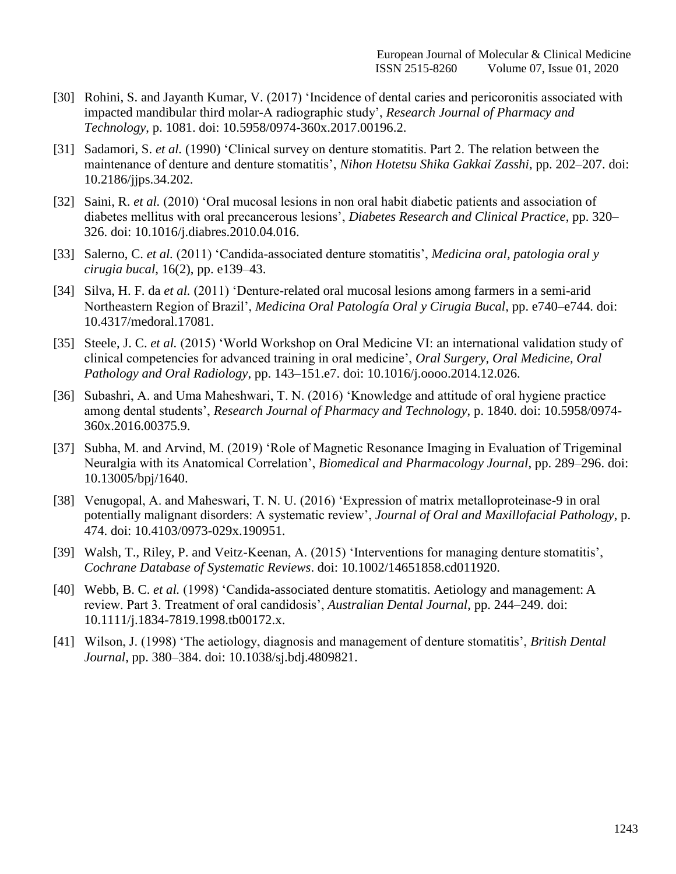- [30] Rohini, S. and Jayanth Kumar, V. [\(2017\) 'Incidence of dental caries and pericoronitis associated with](http://paperpile.com/b/Pm6PN6/jmZP) [impacted mandibular third molar-A radiographic study',](http://paperpile.com/b/Pm6PN6/jmZP) *Research Journal of Pharmacy an[d](http://paperpile.com/b/Pm6PN6/jmZP) Technology*[, p. 1081. doi: 10.5958/0974-360x.2017.00196.2.](http://paperpile.com/b/Pm6PN6/jmZP)
- [31] Sadamori, S. *et al.* (1990) ['Clinical survey on denture stomatitis. Part 2. The relation between the](http://paperpile.com/b/Pm6PN6/ATgk) [maintenance of denture and denture stomatitis',](http://paperpile.com/b/Pm6PN6/ATgk) *Nihon Hotetsu Shika Gakkai Zasshi*, pp. 202–207. doi[:](http://paperpile.com/b/Pm6PN6/ATgk) [10.2186/jjps.34.202.](http://dx.doi.org/10.2186/jjps.34.202)
- [32] Saini, R. *et al.* [\(2010\) 'Oral mucosal lesions in non oral habit diabetic patients and association of](http://paperpile.com/b/Pm6PN6/x6P1) [diabetes mellitus with oral precancerous lesions',](http://paperpile.com/b/Pm6PN6/x6P1) *Diabetes Research and Clinical Practice*, pp. 320[–](http://paperpile.com/b/Pm6PN6/x6P1) [326. doi:](http://paperpile.com/b/Pm6PN6/x6P1) [10.1016/j.diabres.2010.04.016.](http://paperpile.com/b/Pm6PN6/x6P1)
- [33] Salerno, C. *et al.* [\(2011\) 'Candida-associated denture stomatitis',](http://paperpile.com/b/Pm6PN6/jnEN) *Medicina oral, patologia oral [y](http://paperpile.com/b/Pm6PN6/jnEN) cirugia bucal*[, 16\(2\), pp. e139–43.](http://paperpile.com/b/Pm6PN6/jnEN)
- [34] Silva, H. F. da *et al.* [\(2011\) 'Denture-related oral mucosal lesions among farmers](http://paperpile.com/b/Pm6PN6/LaW7) in a semi-ari[d](http://paperpile.com/b/Pm6PN6/LaW7) Northeastern Region of Brazil', *[Medicina Oral Patología Oral y Cirugia Bucal](http://paperpile.com/b/Pm6PN6/LaW7)*, pp. e740–e744. doi[:](http://paperpile.com/b/Pm6PN6/LaW7) [10.4317/medoral.17081.](http://dx.doi.org/10.4317/medoral.17081)
- [35] Steele, J. C. *et al.* [\(2015\) 'World Workshop on Oral Medicine VI: an international validation study of](http://paperpile.com/b/Pm6PN6/KmiI) [clinical competencies for advanced training in oral medicine',](http://paperpile.com/b/Pm6PN6/KmiI) *Oral Surgery, Oral Medicine, Ora[l](http://paperpile.com/b/Pm6PN6/KmiI) [Pathology and Oral Radiology](http://paperpile.com/b/Pm6PN6/KmiI)*, pp. 143–151.e7. doi: [10.1016/j.oooo.2014.12.026.](http://paperpile.com/b/Pm6PN6/KmiI)
- [36] [Subashri, A. and Uma Maheshwari, T. N. \(2016\) 'Knowledge and attitude of oral hygiene practice](http://paperpile.com/b/Pm6PN6/Byi3) among dental students', *[Research Journal of Pharmacy and Technology](http://paperpile.com/b/Pm6PN6/Byi3)*, p. 1840. doi: [10.5958/0974-](http://paperpile.com/b/Pm6PN6/Byi3) [360x.2016.00375.9](http://dx.doi.org/10.5958/0974-360x.2016.00375.9)[.](http://paperpile.com/b/Pm6PN6/Byi3)
- [37] [Subha, M. and Arvind, M. \(2019\) 'Role of Magnetic Resonance Imaging in Evaluation of Trigeminal](http://paperpile.com/b/Pm6PN6/bRKz) [Neuralgia with its Anatomical Correlation',](http://paperpile.com/b/Pm6PN6/bRKz) *Biomedical and Pharmacology Journal*, pp. 289–296. doi[:](http://paperpile.com/b/Pm6PN6/bRKz) [10.13005/bpj/1640.](http://dx.doi.org/10.13005/bpj/1640)
- [38] [Venugopal, A. and Maheswari, T. N. U. \(2016\) 'Expression of matrix metalloproteinase-9 in oral](http://paperpile.com/b/Pm6PN6/eOvQ) [potentially malignant disorders: A systematic review',](http://paperpile.com/b/Pm6PN6/eOvQ) *Journal of Oral and Maxillofacial Pathology*, p[.](http://paperpile.com/b/Pm6PN6/eOvQ) [474. doi: 10.4103/0973-029x.190951.](http://paperpile.com/b/Pm6PN6/eOvQ)
- [39] [Walsh, T., Riley, P. and Veitz-Keenan, A. \(2015\) 'Interventions for managing denture](http://paperpile.com/b/Pm6PN6/qGdZ) stomatitis', *[Cochrane Database of Systematic Reviews](http://paperpile.com/b/Pm6PN6/qGdZ)*. doi: [10.1002/14651858.cd011920](http://paperpile.com/b/Pm6PN6/qGdZ)[.](http://dx.doi.org/10.1002/14651858.cd011920)
- [40] Webb, B. C. *et al.* [\(1998\) 'Candida-associated denture stomatitis. Aetiology and management:](http://paperpile.com/b/Pm6PN6/cDyO) [A](http://paperpile.com/b/Pm6PN6/cDyO) [review. Part 3. Treatment of oral candidosis',](http://paperpile.com/b/Pm6PN6/cDyO) *Australian Dental Journal*, pp. 244–249. doi[:](http://paperpile.com/b/Pm6PN6/cDyO) [10.1111/j.1834-7819.1998.tb00172.x.](http://dx.doi.org/10.1111/j.1834-7819.1998.tb00172.x)
- [41] [Wilson, J. \(1998\) 'The aetiology, diagnosis and management of denture stomatitis',](http://paperpile.com/b/Pm6PN6/Ez6F) *British Denta[l](http://paperpile.com/b/Pm6PN6/Ez6F) Journal*[, pp. 380–384. doi: 10.1038/sj.bdj.4809821](http://paperpile.com/b/Pm6PN6/Ez6F)[.](http://dx.doi.org/10.1038/sj.bdj.4809821)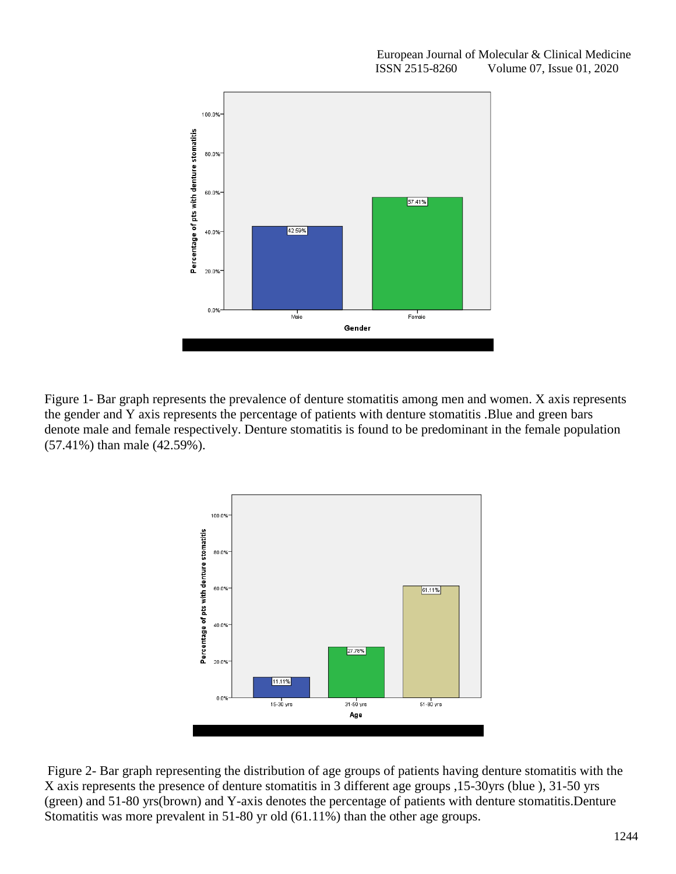

Figure 1- Bar graph represents the prevalence of denture stomatitis among men and women. X axis represents the gender and Y axis represents the percentage of patients with denture stomatitis .Blue and green bars denote male and female respectively. Denture stomatitis is found to be predominant in the female population (57.41%) than male (42.59%).



Figure 2- Bar graph representing the distribution of age groups of patients having denture stomatitis with the X axis represents the presence of denture stomatitis in 3 different age groups ,15-30yrs (blue ), 31-50 yrs (green) and 51-80 yrs(brown) and Y-axis denotes the percentage of patients with denture stomatitis.Denture Stomatitis was more prevalent in 51-80 yr old (61.11%) than the other age groups.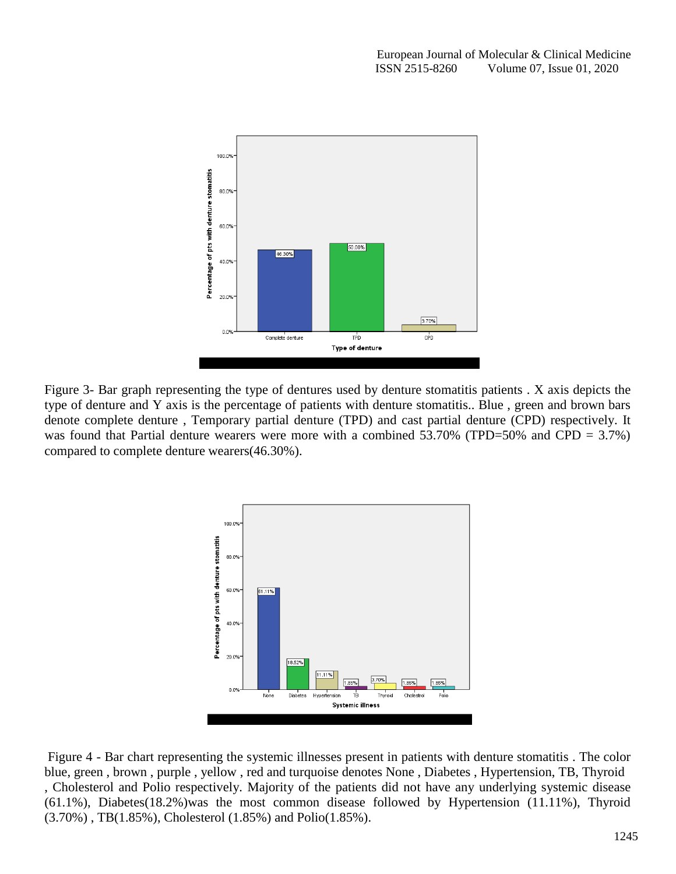

Figure 3- Bar graph representing the type of dentures used by denture stomatitis patients . X axis depicts the type of denture and Y axis is the percentage of patients with denture stomatitis.. Blue , green and brown bars denote complete denture , Temporary partial denture (TPD) and cast partial denture (CPD) respectively. It was found that Partial denture wearers were more with a combined  $53.70\%$  (TPD=50% and CPD = 3.7%) compared to complete denture wearers(46.30%).



Figure 4 - Bar chart representing the systemic illnesses present in patients with denture stomatitis . The color blue, green , brown , purple , yellow , red and turquoise denotes None , Diabetes , Hypertension, TB, Thyroid , Cholesterol and Polio respectively. Majority of the patients did not have any underlying systemic disease (61.1%), Diabetes(18.2%)was the most common disease followed by Hypertension (11.11%), Thyroid (3.70%) , TB(1.85%), Cholesterol (1.85%) and Polio(1.85%).